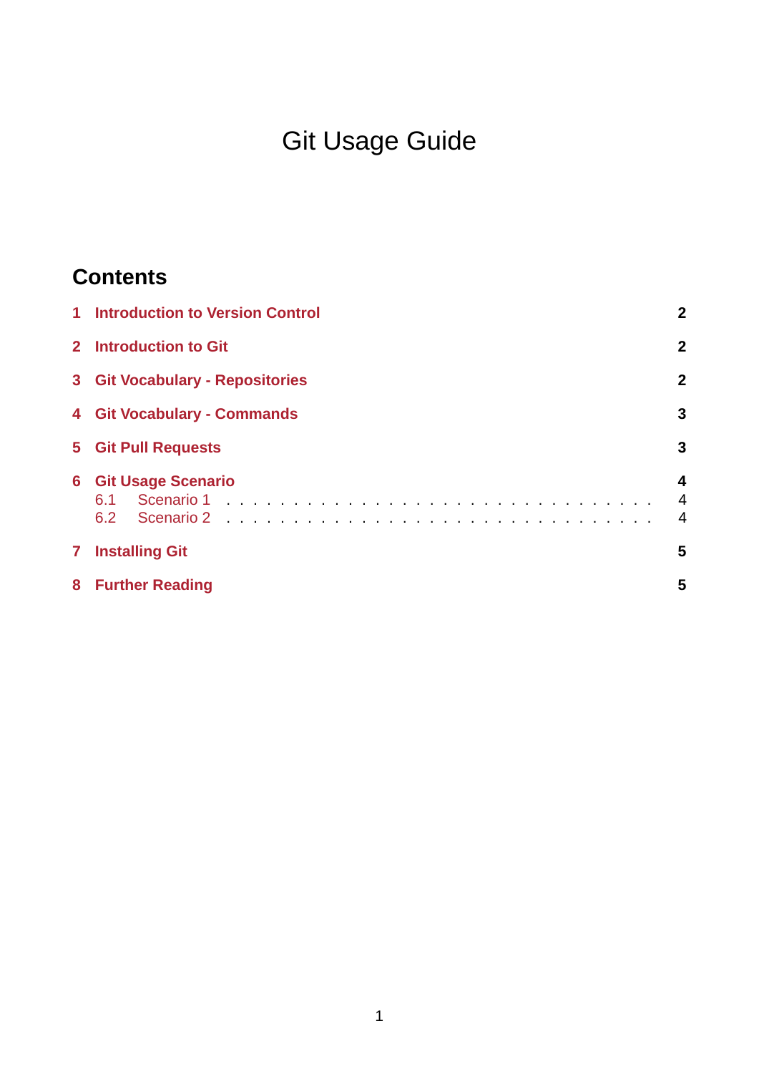# Git Usage Guide

# **Contents**

|                | <b>1</b> Introduction to Version Control | $\mathbf{2}$   |
|----------------|------------------------------------------|----------------|
|                | 2 Introduction to Git                    | $\overline{2}$ |
|                | <b>3 Git Vocabulary - Repositories</b>   | $\overline{2}$ |
|                | <b>4 Git Vocabulary - Commands</b>       | 3              |
|                | <b>5</b> Git Pull Requests               | 3              |
|                | <b>6 Git Usage Scenario</b>              | 4<br>4<br>4    |
| 7 <sup>1</sup> | <b>Installing Git</b>                    | 5              |
|                | 8 Further Reading                        | 5              |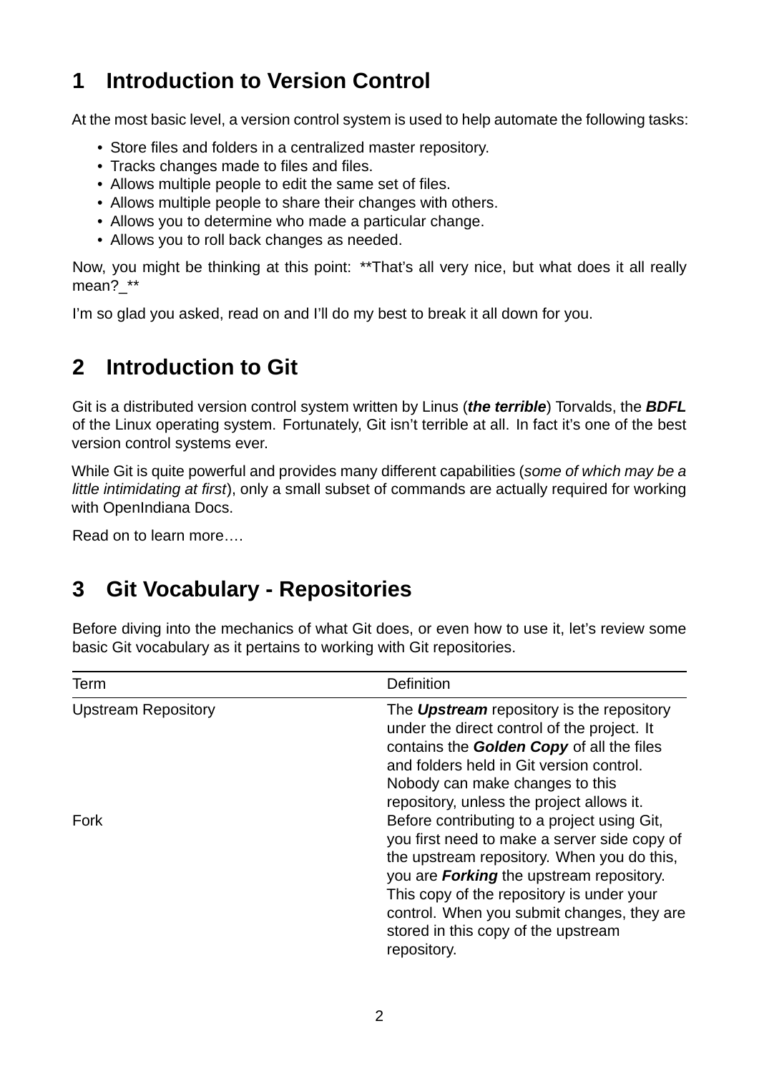### <span id="page-1-0"></span>**1 Introduction to Version Control**

At the most basic level, a version control system is used to help automate the following tasks:

- Store files and folders in a centralized master repository.
- Tracks changes made to files and files.
- Allows multiple people to edit the same set of files.
- Allows multiple people to share their changes with others.
- Allows you to determine who made a particular change.
- Allows you to roll back changes as needed.

Now, you might be thinking at this point: \*\*That's all very nice, but what does it all really mean? \*\*

I'm so glad you asked, read on and I'll do my best to break it all down for you.

### <span id="page-1-1"></span>**2 Introduction to Git**

Git is a distributed version control system written by Linus (*the terrible*) Torvalds, the *BDFL* of the Linux operating system. Fortunately, Git isn't terrible at all. In fact it's one of the best version control systems ever.

While Git is quite powerful and provides many different capabilities (*some of which may be a little intimidating at first*), only a small subset of commands are actually required for working with OpenIndiana Docs.

Read on to learn more….

## <span id="page-1-2"></span>**3 Git Vocabulary Repositories**

Before diving into the mechanics of what Git does, or even how to use it, let's review some basic Git vocabulary as it pertains to working with Git repositories.

| Term                       | Definition                                                                                                                                                                                                                                                                             |
|----------------------------|----------------------------------------------------------------------------------------------------------------------------------------------------------------------------------------------------------------------------------------------------------------------------------------|
| <b>Upstream Repository</b> | The <b>Upstream</b> repository is the repository<br>under the direct control of the project. It<br>contains the Golden Copy of all the files<br>and folders held in Git version control.<br>Nobody can make changes to this                                                            |
| Fork                       | repository, unless the project allows it.<br>Before contributing to a project using Git,<br>you first need to make a server side copy of<br>the upstream repository. When you do this,<br>you are <b>Forking</b> the upstream repository.<br>This copy of the repository is under your |
|                            | control. When you submit changes, they are<br>stored in this copy of the upstream<br>repository.                                                                                                                                                                                       |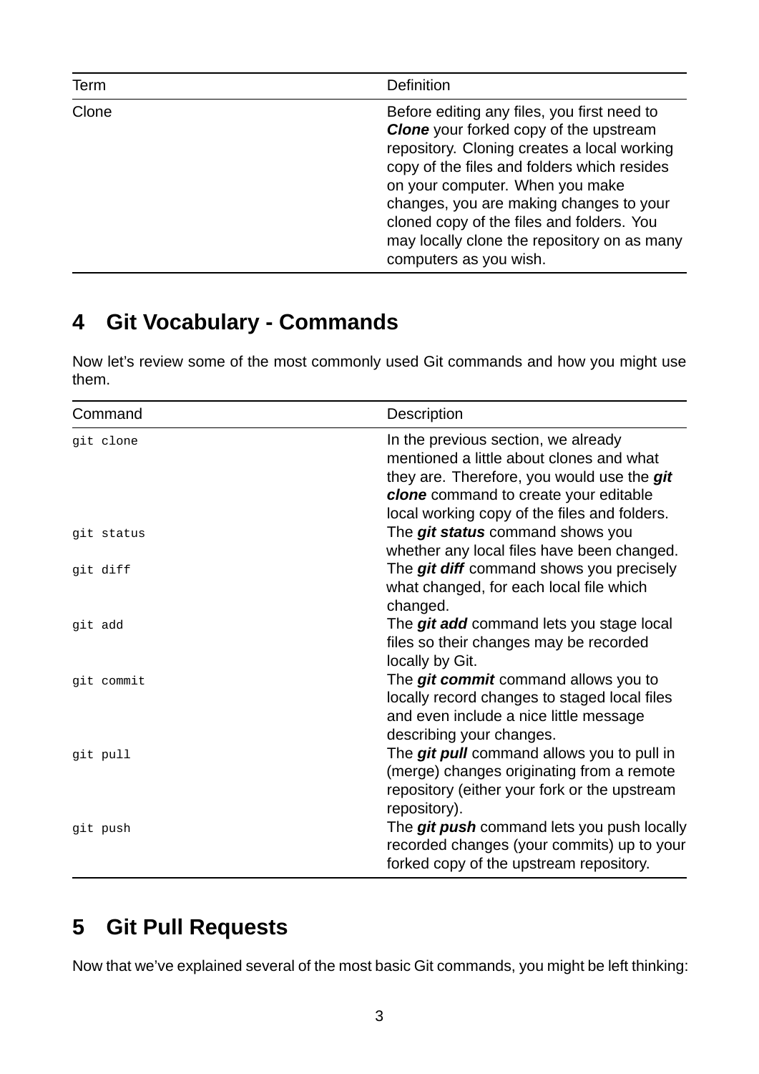| Term  | <b>Definition</b>                                                                                                                                                                                                                                                                                                                                                                              |
|-------|------------------------------------------------------------------------------------------------------------------------------------------------------------------------------------------------------------------------------------------------------------------------------------------------------------------------------------------------------------------------------------------------|
| Clone | Before editing any files, you first need to<br><b>Clone</b> your forked copy of the upstream<br>repository. Cloning creates a local working<br>copy of the files and folders which resides<br>on your computer. When you make<br>changes, you are making changes to your<br>cloned copy of the files and folders. You<br>may locally clone the repository on as many<br>computers as you wish. |

### <span id="page-2-0"></span>**4 Git Vocabulary - Commands**

Now let's review some of the most commonly used Git commands and how you might use them.

| Command    | Description                                                                                                                                                                                                                   |  |
|------------|-------------------------------------------------------------------------------------------------------------------------------------------------------------------------------------------------------------------------------|--|
| git clone  | In the previous section, we already<br>mentioned a little about clones and what<br>they are. Therefore, you would use the git<br><b>clone</b> command to create your editable<br>local working copy of the files and folders. |  |
| git status | The git status command shows you<br>whether any local files have been changed.                                                                                                                                                |  |
| git diff   | The git diff command shows you precisely<br>what changed, for each local file which<br>changed.                                                                                                                               |  |
| git add    | The git add command lets you stage local<br>files so their changes may be recorded<br>locally by Git.                                                                                                                         |  |
| git commit | The git commit command allows you to<br>locally record changes to staged local files<br>and even include a nice little message<br>describing your changes.                                                                    |  |
| git pull   | The git pull command allows you to pull in<br>(merge) changes originating from a remote<br>repository (either your fork or the upstream<br>repository).                                                                       |  |
| git push   | The git push command lets you push locally<br>recorded changes (your commits) up to your<br>forked copy of the upstream repository.                                                                                           |  |

## <span id="page-2-1"></span>**5 Git Pull Requests**

Now that we've explained several of the most basic Git commands, you might be left thinking: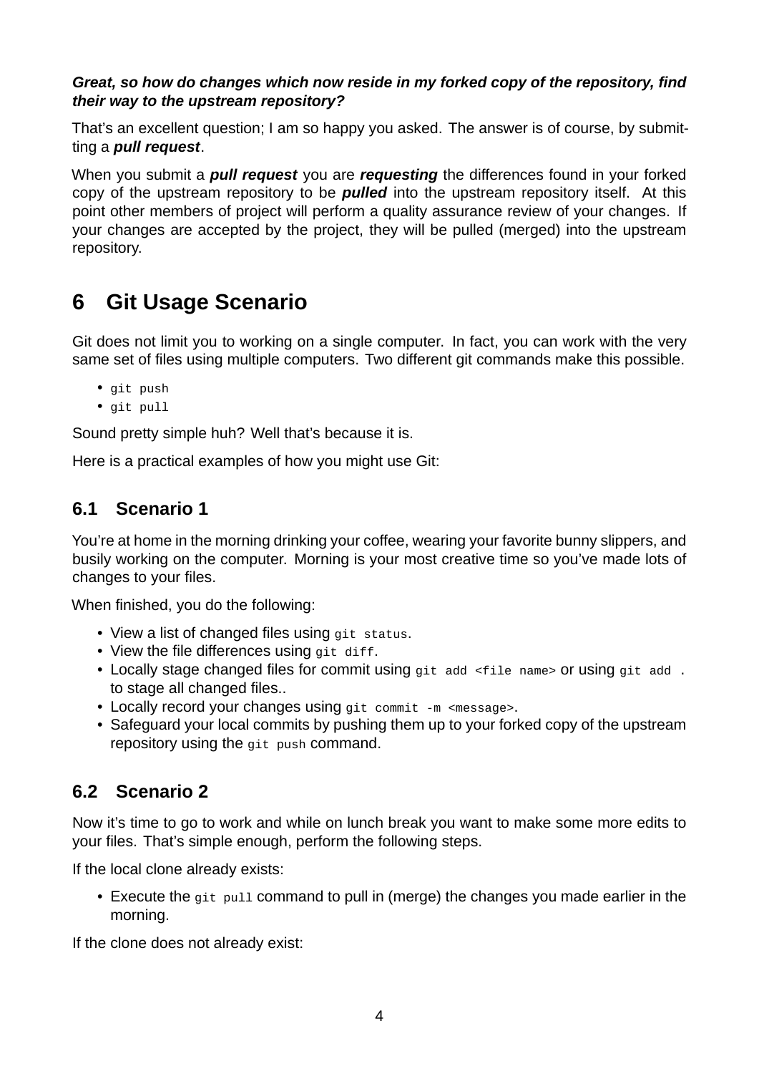#### *Great, so how do changes which now reside in my forked copy of the repository, find their way to the upstream repository?*

That's an excellent question; I am so happy you asked. The answer is of course, by submitting a *pull request*.

When you submit a *pull request* you are *requesting* the differences found in your forked copy of the upstream repository to be *pulled* into the upstream repository itself. At this point other members of project will perform a quality assurance review of your changes. If your changes are accepted by the project, they will be pulled (merged) into the upstream repository.

### <span id="page-3-0"></span>**6 Git Usage Scenario**

Git does not limit you to working on a single computer. In fact, you can work with the very same set of files using multiple computers. Two different git commands make this possible.

- git push
- git pull

Sound pretty simple huh? Well that's because it is.

Here is a practical examples of how you might use Git:

### <span id="page-3-1"></span>**6.1 Scenario 1**

You're at home in the morning drinking your coffee, wearing your favorite bunny slippers, and busily working on the computer. Morning is your most creative time so you've made lots of changes to your files.

When finished, you do the following:

- View a list of changed files using git status.
- View the file differences using git diff.
- Locally stage changed files for commit using git add <file name> or using git add . to stage all changed files..
- Locally record your changes using git commit  $-m$  <message>.
- Safeguard your local commits by pushing them up to your forked copy of the upstream repository using the git push command.

### <span id="page-3-2"></span>**6.2 Scenario 2**

Now it's time to go to work and while on lunch break you want to make some more edits to your files. That's simple enough, perform the following steps.

If the local clone already exists:

• Execute the git pull command to pull in (merge) the changes you made earlier in the morning.

If the clone does not already exist: